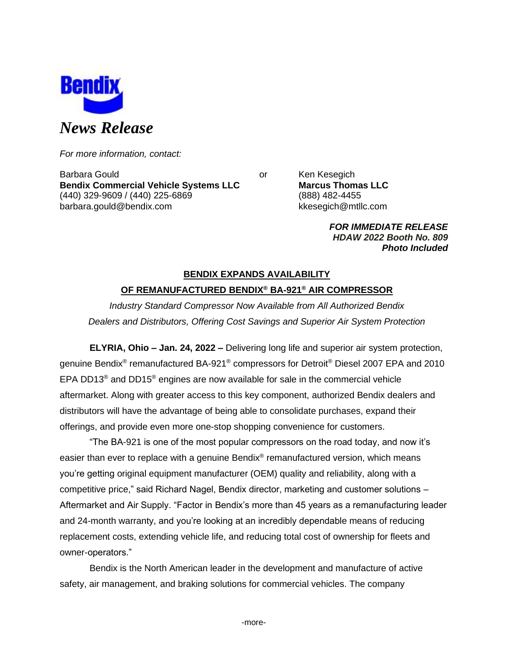

*For more information, contact:*

Barbara Gould **Communist Communist Communist Communist Communist Communist Communist Communist Communist Communist Communist Communist Communist Communist Communist Communist Communist Communist Communist Communist Communi Bendix Commercial Vehicle Systems LLC Marcus Thomas LLC** (440) 329-9609 / (440) 225-6869 (888) 482-4455 barbara.gould@bendix.com kkesegich@mtllc.com

*FOR IMMEDIATE RELEASE HDAW 2022 Booth No. 809 Photo Included*

# **BENDIX EXPANDS AVAILABILITY OF REMANUFACTURED BENDIX® BA-921® AIR COMPRESSOR**

*Industry Standard Compressor Now Available from All Authorized Bendix Dealers and Distributors, Offering Cost Savings and Superior Air System Protection*

**ELYRIA, Ohio – Jan. 24, 2022 –** Delivering long life and superior air system protection, genuine Bendix® remanufactured BA-921® compressors for Detroit® Diesel 2007 EPA and 2010 EPA DD13® and DD15® engines are now available for sale in the commercial vehicle aftermarket. Along with greater access to this key component, authorized Bendix dealers and distributors will have the advantage of being able to consolidate purchases, expand their offerings, and provide even more one-stop shopping convenience for customers.

"The BA-921 is one of the most popular compressors on the road today, and now it's easier than ever to replace with a genuine Bendix® remanufactured version, which means you're getting original equipment manufacturer (OEM) quality and reliability, along with a competitive price," said Richard Nagel, Bendix director, marketing and customer solutions – Aftermarket and Air Supply. "Factor in Bendix's more than 45 years as a remanufacturing leader and 24-month warranty, and you're looking at an incredibly dependable means of reducing replacement costs, extending vehicle life, and reducing total cost of ownership for fleets and owner-operators."

Bendix is the North American leader in the development and manufacture of active safety, air management, and braking solutions for commercial vehicles. The company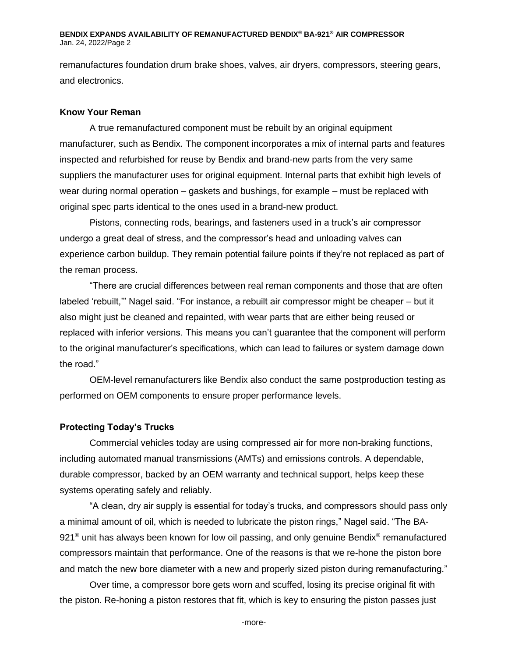### **BENDIX EXPANDS AVAILABILITY OF REMANUFACTURED BENDIX® BA-921® AIR COMPRESSOR**  Jan. 24, 2022/Page 2

remanufactures foundation drum brake shoes, valves, air dryers, compressors, steering gears, and electronics.

## **Know Your Reman**

A true remanufactured component must be rebuilt by an original equipment manufacturer, such as Bendix. The component incorporates a mix of internal parts and features inspected and refurbished for reuse by Bendix and brand-new parts from the very same suppliers the manufacturer uses for original equipment. Internal parts that exhibit high levels of wear during normal operation – gaskets and bushings, for example – must be replaced with original spec parts identical to the ones used in a brand-new product.

Pistons, connecting rods, bearings, and fasteners used in a truck's air compressor undergo a great deal of stress, and the compressor's head and unloading valves can experience carbon buildup. They remain potential failure points if they're not replaced as part of the reman process.

"There are crucial differences between real reman components and those that are often labeled 'rebuilt,'" Nagel said. "For instance, a rebuilt air compressor might be cheaper – but it also might just be cleaned and repainted, with wear parts that are either being reused or replaced with inferior versions. This means you can't guarantee that the component will perform to the original manufacturer's specifications, which can lead to failures or system damage down the road."

OEM-level remanufacturers like Bendix also conduct the same postproduction testing as performed on OEM components to ensure proper performance levels.

## **Protecting Today's Trucks**

Commercial vehicles today are using compressed air for more non-braking functions, including automated manual transmissions (AMTs) and emissions controls. A dependable, durable compressor, backed by an OEM warranty and technical support, helps keep these systems operating safely and reliably.

"A clean, dry air supply is essential for today's trucks, and compressors should pass only a minimal amount of oil, which is needed to lubricate the piston rings," Nagel said. "The BA-921<sup>®</sup> unit has always been known for low oil passing, and only genuine Bendix® remanufactured compressors maintain that performance. One of the reasons is that we re-hone the piston bore and match the new bore diameter with a new and properly sized piston during remanufacturing."

Over time, a compressor bore gets worn and scuffed, losing its precise original fit with the piston. Re-honing a piston restores that fit, which is key to ensuring the piston passes just